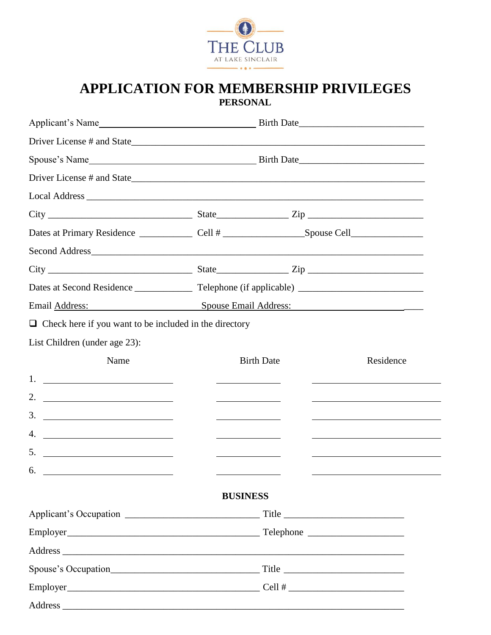

# **APPLICATION FOR MEMBERSHIP PRIVILEGES PERSONAL**

|                                              |                                  | Residence                                                                                                                                                                                                                                                                                         |  |
|----------------------------------------------|----------------------------------|---------------------------------------------------------------------------------------------------------------------------------------------------------------------------------------------------------------------------------------------------------------------------------------------------|--|
|                                              |                                  |                                                                                                                                                                                                                                                                                                   |  |
|                                              |                                  |                                                                                                                                                                                                                                                                                                   |  |
|                                              |                                  |                                                                                                                                                                                                                                                                                                   |  |
| <u> 1989 - Johann Barn, fransk politik (</u> |                                  |                                                                                                                                                                                                                                                                                                   |  |
|                                              |                                  |                                                                                                                                                                                                                                                                                                   |  |
|                                              |                                  |                                                                                                                                                                                                                                                                                                   |  |
|                                              |                                  |                                                                                                                                                                                                                                                                                                   |  |
|                                              |                                  |                                                                                                                                                                                                                                                                                                   |  |
|                                              |                                  |                                                                                                                                                                                                                                                                                                   |  |
|                                              |                                  |                                                                                                                                                                                                                                                                                                   |  |
|                                              |                                  |                                                                                                                                                                                                                                                                                                   |  |
|                                              |                                  |                                                                                                                                                                                                                                                                                                   |  |
|                                              |                                  |                                                                                                                                                                                                                                                                                                   |  |
|                                              | $6.$ $\overline{\qquad \qquad }$ | $City$ $City$ $Size$<br>Email Address: Spouse Email Address: Spouse Email Address:<br>$\Box$ Check here if you want to be included in the directory<br><b>Birth Date</b><br><u> 1989 - Johann Barn, mars ann an t-</u><br><u> 1989 - Johann Stoff, Amerikaansk politiker (</u><br><b>BUSINESS</b> |  |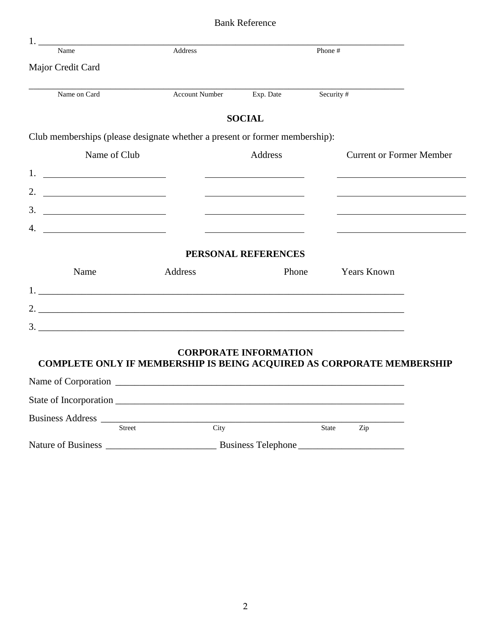| <b>Bank Reference</b> |  |
|-----------------------|--|
|-----------------------|--|

| 1.<br>Name                                                                   | Address               |                              | Phone #    |                                 |  |
|------------------------------------------------------------------------------|-----------------------|------------------------------|------------|---------------------------------|--|
| Major Credit Card                                                            |                       |                              |            |                                 |  |
| Name on Card                                                                 | <b>Account Number</b> | Exp. Date                    | Security # |                                 |  |
|                                                                              |                       | <b>SOCIAL</b>                |            |                                 |  |
| Club memberships (please designate whether a present or former membership):  |                       |                              |            |                                 |  |
| Name of Club                                                                 |                       | Address                      |            | <b>Current or Former Member</b> |  |
|                                                                              |                       |                              |            |                                 |  |
| 2. $\qquad \qquad$                                                           |                       |                              |            |                                 |  |
| 3.                                                                           |                       |                              |            |                                 |  |
| 4.<br><u> 1990 - John Stone, amerikansk politiker (</u>                      |                       |                              |            |                                 |  |
|                                                                              |                       | PERSONAL REFERENCES          |            |                                 |  |
| Name                                                                         | Address               | Phone                        |            | <b>Years Known</b>              |  |
|                                                                              |                       |                              |            |                                 |  |
|                                                                              |                       |                              |            |                                 |  |
|                                                                              |                       |                              |            |                                 |  |
|                                                                              |                       | <b>CORPORATE INFORMATION</b> |            |                                 |  |
| <b>COMPLETE ONLY IF MEMBERSHIP IS BEING ACQUIRED AS CORPORATE MEMBERSHIP</b> |                       |                              |            |                                 |  |
|                                                                              |                       |                              |            |                                 |  |
|                                                                              |                       |                              |            |                                 |  |
|                                                                              |                       |                              |            |                                 |  |
| <b>Street</b>                                                                | City                  |                              | State      | Zip                             |  |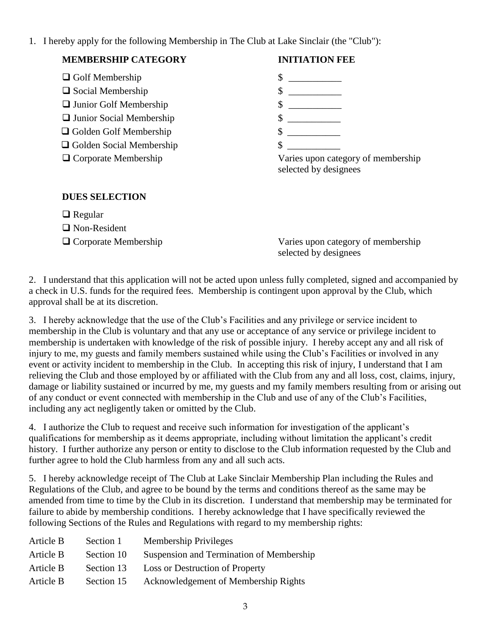1. I hereby apply for the following Membership in The Club at Lake Sinclair (the "Club"):

# **MEMBERSHIP CATEGORY INITIATION FEE**

- $\Box$  Golf Membership  $\Box$
- Social Membership \$ \_\_\_\_\_\_\_\_\_\_\_
- □ Junior Golf Membership
- □ Junior Social Membership
- Golden Golf Membership
- □ Golden Social Membership
- 

- $\upbeta$  $\frac{\text{S}}{\text{S}}$
- $\frac{1}{2}$  $\frac{\text{S}}{\text{}}$

 Corporate Membership Varies upon category of membership selected by designees

## **DUES SELECTION**

- □ Regular
- Non-Resident
- 

 Corporate Membership Varies upon category of membership selected by designees

2. I understand that this application will not be acted upon unless fully completed, signed and accompanied by a check in U.S. funds for the required fees. Membership is contingent upon approval by the Club, which approval shall be at its discretion.

3. I hereby acknowledge that the use of the Club's Facilities and any privilege or service incident to membership in the Club is voluntary and that any use or acceptance of any service or privilege incident to membership is undertaken with knowledge of the risk of possible injury. I hereby accept any and all risk of injury to me, my guests and family members sustained while using the Club's Facilities or involved in any event or activity incident to membership in the Club. In accepting this risk of injury, I understand that I am relieving the Club and those employed by or affiliated with the Club from any and all loss, cost, claims, injury, damage or liability sustained or incurred by me, my guests and my family members resulting from or arising out of any conduct or event connected with membership in the Club and use of any of the Club's Facilities, including any act negligently taken or omitted by the Club.

4. I authorize the Club to request and receive such information for investigation of the applicant's qualifications for membership as it deems appropriate, including without limitation the applicant's credit history. I further authorize any person or entity to disclose to the Club information requested by the Club and further agree to hold the Club harmless from any and all such acts.

5. I hereby acknowledge receipt of The Club at Lake Sinclair Membership Plan including the Rules and Regulations of the Club, and agree to be bound by the terms and conditions thereof as the same may be amended from time to time by the Club in its discretion. I understand that membership may be terminated for failure to abide by membership conditions. I hereby acknowledge that I have specifically reviewed the following Sections of the Rules and Regulations with regard to my membership rights:

| Article B | Section 1  | <b>Membership Privileges</b>             |
|-----------|------------|------------------------------------------|
| Article B | Section 10 | Suspension and Termination of Membership |
| Article B | Section 13 | Loss or Destruction of Property          |
| Article B | Section 15 | Acknowledgement of Membership Rights     |